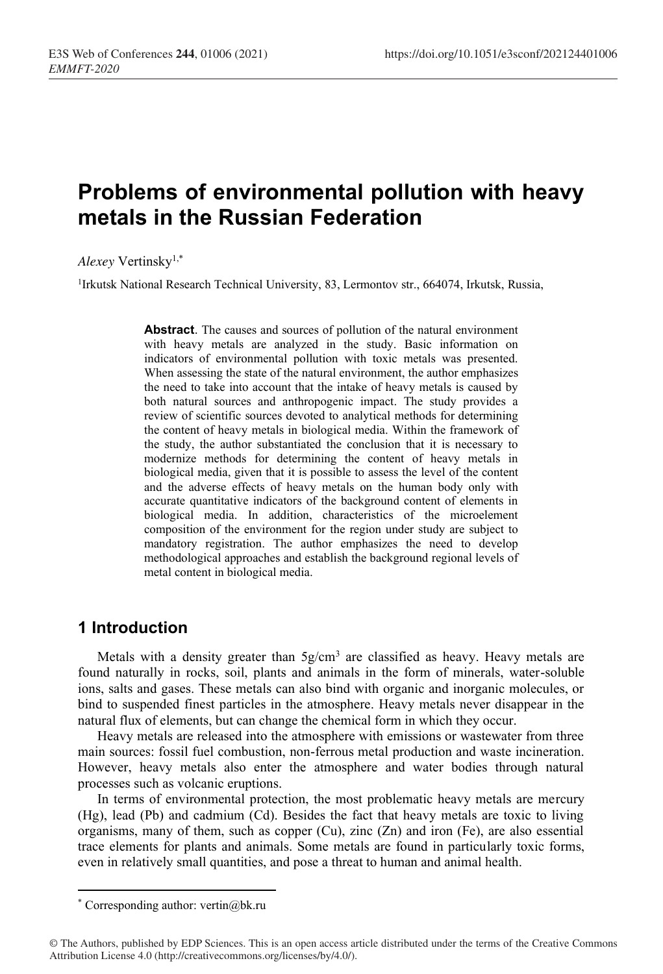# **Problems of environmental pollution with heavy metals in the Russian Federation**

*Alexey* Vertinsky1,\*

<sup>1</sup>Irkutsk National Research Technical University, 83, Lermontov str., 664074, Irkutsk, Russia,

**Abstract**. The causes and sources of pollution of the natural environment with heavy metals are analyzed in the study. Basic information on indicators of environmental pollution with toxic metals was presented. When assessing the state of the natural environment, the author emphasizes the need to take into account that the intake of heavy metals is caused by both natural sources and anthropogenic impact. The study provides a review of scientific sources devoted to analytical methods for determining the content of heavy metals in biological media. Within the framework of the study, the author substantiated the conclusion that it is necessary to modernize methods for determining the content of heavy metals in biological media, given that it is possible to assess the level of the content and the adverse effects of heavy metals on the human body only with accurate quantitative indicators of the background content of elements in biological media. In addition, characteristics of the microelement composition of the environment for the region under study are subject to mandatory registration. The author emphasizes the need to develop methodological approaches and establish the background regional levels of metal content in biological media.

#### **1 Introduction**

Metals with a density greater than  $5g/cm<sup>3</sup>$  are classified as heavy. Heavy metals are found naturally in rocks, soil, plants and animals in the form of minerals, water-soluble ions, salts and gases. These metals can also bind with organic and inorganic molecules, or bind to suspended finest particles in the atmosphere. Heavy metals never disappear in the natural flux of elements, but can change the chemical form in which they occur.

Heavy metals are released into the atmosphere with emissions or wastewater from three main sources: fossil fuel combustion, non-ferrous metal production and waste incineration. However, heavy metals also enter the atmosphere and water bodies through natural processes such as volcanic eruptions.

In terms of environmental protection, the most problematic heavy metals are mercury (Hg), lead (Pb) and cadmium (Cd). Besides the fact that heavy metals are toxic to living organisms, many of them, such as copper  $(Cu)$ , zinc  $(Zn)$  and iron  $(Fe)$ , are also essential trace elements for plants and animals. Some metals are found in particularly toxic forms, even in relatively small quantities, and pose a threat to human and animal health.

<sup>\*</sup> Corresponding author: vertin@bk.ru

<sup>©</sup> The Authors, published by EDP Sciences. This is an open access article distributed under the terms of the Creative Commons Attribution License 4.0 (http://creativecommons.org/licenses/by/4.0/).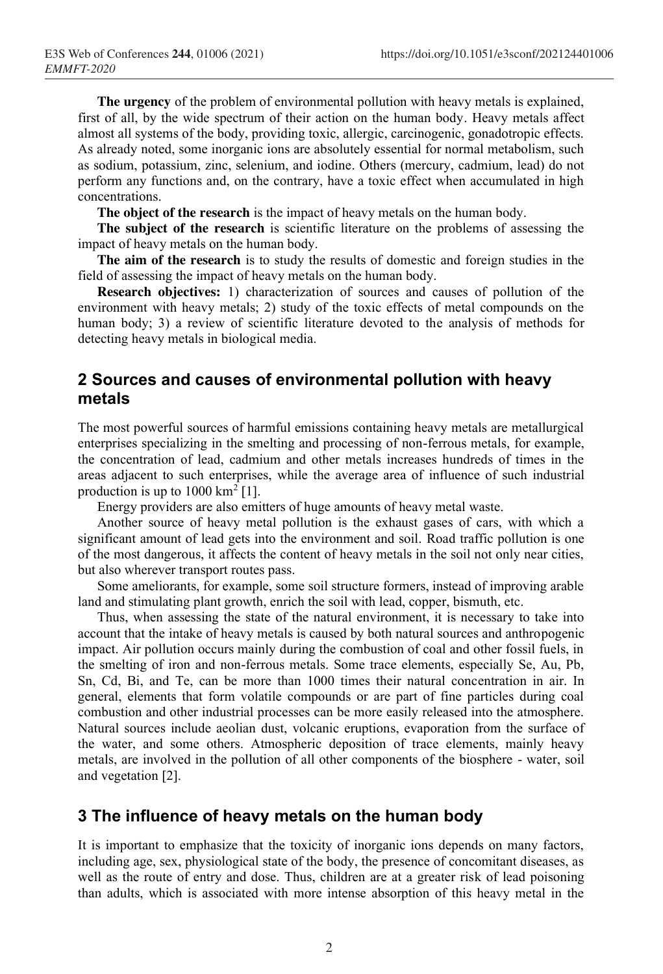**The urgency** of the problem of environmental pollution with heavy metals is explained, first of all, by the wide spectrum of their action on the human body. Heavy metals affect almost all systems of the body, providing toxic, allergic, carcinogenic, gonadotropic effects. As already noted, some inorganic ions are absolutely essential for normal metabolism, such as sodium, potassium, zinc, selenium, and iodine. Others (mercury, cadmium, lead) do not perform any functions and, on the contrary, have a toxic effect when accumulated in high concentrations.

**The object of the research** is the impact of heavy metals on the human body.

**The subject of the research** is scientific literature on the problems of assessing the impact of heavy metals on the human body.

**The aim of the research** is to study the results of domestic and foreign studies in the field of assessing the impact of heavy metals on the human body.

**Research objectives:** 1) characterization of sources and causes of pollution of the environment with heavy metals; 2) study of the toxic effects of metal compounds on the human body; 3) a review of scientific literature devoted to the analysis of methods for detecting heavy metals in biological media.

### **2 Sources and causes of environmental pollution with heavy metals**

The most powerful sources of harmful emissions containing heavy metals are metallurgical enterprises specializing in the smelting and processing of non-ferrous metals, for example, the concentration of lead, cadmium and other metals increases hundreds of times in the areas adjacent to such enterprises, while the average area of influence of such industrial production is up to  $1000 \text{ km}^2$  [1].

Energy providers are also emitters of huge amounts of heavy metal waste.

Another source of heavy metal pollution is the exhaust gases of cars, with which a significant amount of lead gets into the environment and soil. Road traffic pollution is one of the most dangerous, it affects the content of heavy metals in the soil not only near cities, but also wherever transport routes pass.

Some ameliorants, for example, some soil structure formers, instead of improving arable land and stimulating plant growth, enrich the soil with lead, copper, bismuth, etc.

Thus, when assessing the state of the natural environment, it is necessary to take into account that the intake of heavy metals is caused by both natural sources and anthropogenic impact. Air pollution occurs mainly during the combustion of coal and other fossil fuels, in the smelting of iron and non-ferrous metals. Some trace elements, especially Se, Au, Pb, Sn, Cd, Bi, and Te, can be more than 1000 times their natural concentration in air. In general, elements that form volatile compounds or are part of fine particles during coal combustion and other industrial processes can be more easily released into the atmosphere. Natural sources include aeolian dust, volcanic eruptions, evaporation from the surface of the water, and some others. Atmospheric deposition of trace elements, mainly heavy metals, are involved in the pollution of all other components of the biosphere - water, soil and vegetation [2].

#### **3 The influence of heavy metals on the human body**

It is important to emphasize that the toxicity of inorganic ions depends on many factors, including age, sex, physiological state of the body, the presence of concomitant diseases, as well as the route of entry and dose. Thus, children are at a greater risk of lead poisoning than adults, which is associated with more intense absorption of this heavy metal in the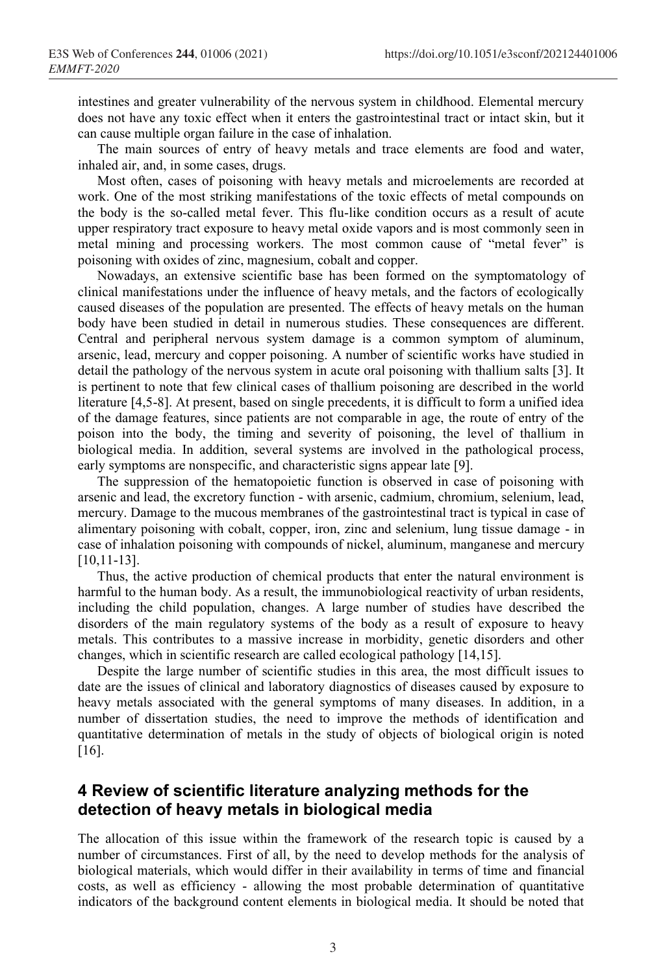intestines and greater vulnerability of the nervous system in childhood. Elemental mercury does not have any toxic effect when it enters the gastrointestinal tract or intact skin, but it can cause multiple organ failure in the case of inhalation.

The main sources of entry of heavy metals and trace elements are food and water, inhaled air, and, in some cases, drugs.

Most often, cases of poisoning with heavy metals and microelements are recorded at work. One of the most striking manifestations of the toxic effects of metal compounds on the body is the so-called metal fever. This flu-like condition occurs as a result of acute upper respiratory tract exposure to heavy metal oxide vapors and is most commonly seen in metal mining and processing workers. The most common cause of "metal fever" is poisoning with oxides of zinc, magnesium, cobalt and copper.

Nowadays, an extensive scientific base has been formed on the symptomatology of clinical manifestations under the influence of heavy metals, and the factors of ecologically caused diseases of the population are presented. The effects of heavy metals on the human body have been studied in detail in numerous studies. These consequences are different. Central and peripheral nervous system damage is a common symptom of aluminum, arsenic, lead, mercury and copper poisoning. A number of scientific works have studied in detail the pathology of the nervous system in acute oral poisoning with thallium salts [3]. It is pertinent to note that few clinical cases of thallium poisoning are described in the world literature [4,5-8]. At present, based on single precedents, it is difficult to form a unified idea of the damage features, since patients are not comparable in age, the route of entry of the poison into the body, the timing and severity of poisoning, the level of thallium in biological media. In addition, several systems are involved in the pathological process, early symptoms are nonspecific, and characteristic signs appear late [9].

The suppression of the hematopoietic function is observed in case of poisoning with arsenic and lead, the excretory function - with arsenic, cadmium, chromium, selenium, lead, mercury. Damage to the mucous membranes of the gastrointestinal tract is typical in case of alimentary poisoning with cobalt, copper, iron, zinc and selenium, lung tissue damage - in case of inhalation poisoning with compounds of nickel, aluminum, manganese and mercury [10,11-13].

Thus, the active production of chemical products that enter the natural environment is harmful to the human body. As a result, the immunobiological reactivity of urban residents, including the child population, changes. A large number of studies have described the disorders of the main regulatory systems of the body as a result of exposure to heavy metals. This contributes to a massive increase in morbidity, genetic disorders and other changes, which in scientific research are called ecological pathology [14,15].

Despite the large number of scientific studies in this area, the most difficult issues to date are the issues of clinical and laboratory diagnostics of diseases caused by exposure to heavy metals associated with the general symptoms of many diseases. In addition, in a number of dissertation studies, the need to improve the methods of identification and quantitative determination of metals in the study of objects of biological origin is noted [16].

## **4 Review of scientific literature analyzing methods for the detection of heavy metals in biological media**

The allocation of this issue within the framework of the research topic is caused by a number of circumstances. First of all, by the need to develop methods for the analysis of biological materials, which would differ in their availability in terms of time and financial costs, as well as efficiency - allowing the most probable determination of quantitative indicators of the background content elements in biological media. It should be noted that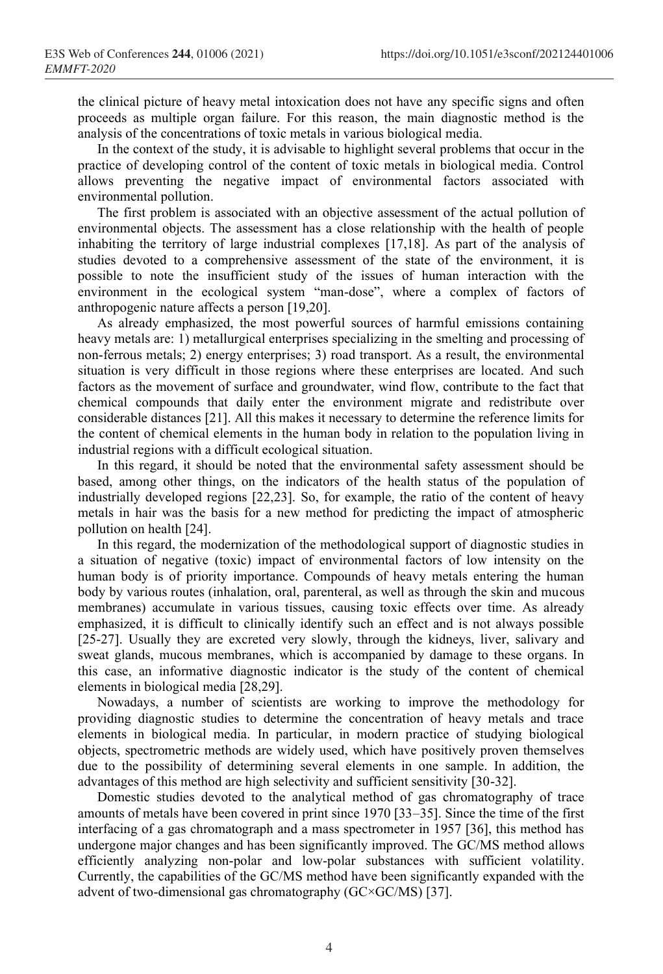the clinical picture of heavy metal intoxication does not have any specific signs and often proceeds as multiple organ failure. For this reason, the main diagnostic method is the analysis of the concentrations of toxic metals in various biological media.

In the context of the study, it is advisable to highlight several problems that occur in the practice of developing control of the content of toxic metals in biological media. Control allows preventing the negative impact of environmental factors associated with environmental pollution.

The first problem is associated with an objective assessment of the actual pollution of environmental objects. The assessment has a close relationship with the health of people inhabiting the territory of large industrial complexes [17,18]. As part of the analysis of studies devoted to a comprehensive assessment of the state of the environment, it is possible to note the insufficient study of the issues of human interaction with the environment in the ecological system "man-dose", where a complex of factors of anthropogenic nature affects a person [19,20].

As already emphasized, the most powerful sources of harmful emissions containing heavy metals are: 1) metallurgical enterprises specializing in the smelting and processing of non-ferrous metals; 2) energy enterprises; 3) road transport. As a result, the environmental situation is very difficult in those regions where these enterprises are located. And such factors as the movement of surface and groundwater, wind flow, contribute to the fact that chemical compounds that daily enter the environment migrate and redistribute over considerable distances [21]. All this makes it necessary to determine the reference limits for the content of chemical elements in the human body in relation to the population living in industrial regions with a difficult ecological situation.

In this regard, it should be noted that the environmental safety assessment should be based, among other things, on the indicators of the health status of the population of industrially developed regions [22,23]. So, for example, the ratio of the content of heavy metals in hair was the basis for a new method for predicting the impact of atmospheric pollution on health [24].

In this regard, the modernization of the methodological support of diagnostic studies in a situation of negative (toxic) impact of environmental factors of low intensity on the human body is of priority importance. Compounds of heavy metals entering the human body by various routes (inhalation, oral, parenteral, as well as through the skin and mucous membranes) accumulate in various tissues, causing toxic effects over time. As already emphasized, it is difficult to clinically identify such an effect and is not always possible [25-27]. Usually they are excreted very slowly, through the kidneys, liver, salivary and sweat glands, mucous membranes, which is accompanied by damage to these organs. In this case, an informative diagnostic indicator is the study of the content of chemical elements in biological media [28,29].

Nowadays, a number of scientists are working to improve the methodology for providing diagnostic studies to determine the concentration of heavy metals and trace elements in biological media. In particular, in modern practice of studying biological objects, spectrometric methods are widely used, which have positively proven themselves due to the possibility of determining several elements in one sample. In addition, the advantages of this method are high selectivity and sufficient sensitivity [30-32].

Domestic studies devoted to the analytical method of gas chromatography of trace amounts of metals have been covered in print since 1970 [33–35]. Since the time of the first interfacing of a gas chromatograph and a mass spectrometer in 1957 [36], this method has undergone major changes and has been significantly improved. The GC/MS method allows efficiently analyzing non-polar and low-polar substances with sufficient volatility. Currently, the capabilities of the GC/MS method have been significantly expanded with the advent of two-dimensional gas chromatography (GC×GC/MS) [37].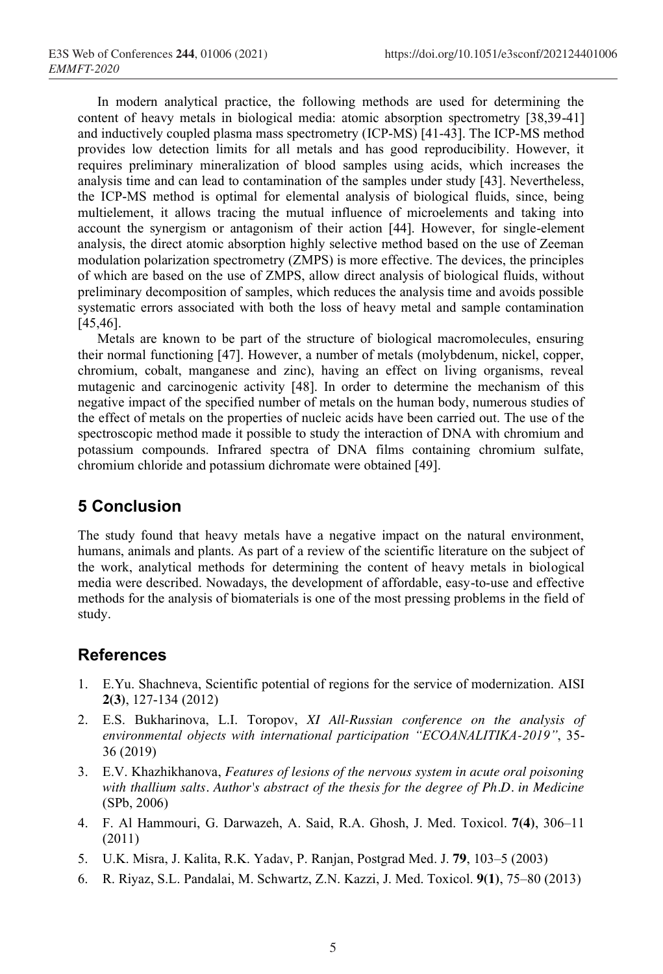In modern analytical practice, the following methods are used for determining the content of heavy metals in biological media: atomic absorption spectrometry [38,39-41] and inductively coupled plasma mass spectrometry (ICP-MS) [41-43]. The ICP-MS method provides low detection limits for all metals and has good reproducibility. However, it requires preliminary mineralization of blood samples using acids, which increases the analysis time and can lead to contamination of the samples under study [43]. Nevertheless, the ICP-MS method is optimal for elemental analysis of biological fluids, since, being multielement, it allows tracing the mutual influence of microelements and taking into account the synergism or antagonism of their action [44]. However, for single-element analysis, the direct atomic absorption highly selective method based on the use of Zeeman modulation polarization spectrometry (ZMPS) is more effective. The devices, the principles of which are based on the use of ZMPS, allow direct analysis of biological fluids, without preliminary decomposition of samples, which reduces the analysis time and avoids possible systematic errors associated with both the loss of heavy metal and sample contamination [45,46].

Metals are known to be part of the structure of biological macromolecules, ensuring their normal functioning [47]. However, a number of metals (molybdenum, nickel, copper, chromium, cobalt, manganese and zinc), having an effect on living organisms, reveal mutagenic and carcinogenic activity [48]. In order to determine the mechanism of this negative impact of the specified number of metals on the human body, numerous studies of the effect of metals on the properties of nucleic acids have been carried out. The use of the spectroscopic method made it possible to study the interaction of DNA with chromium and potassium compounds. Infrared spectra of DNA films containing chromium sulfate, chromium chloride and potassium dichromate were obtained [49].

# **5 Conclusion**

The study found that heavy metals have a negative impact on the natural environment, humans, animals and plants. As part of a review of the scientific literature on the subject of the work, analytical methods for determining the content of heavy metals in biological media were described. Nowadays, the development of affordable, easy-to-use and effective methods for the analysis of biomaterials is one of the most pressing problems in the field of study.

# **References**

- 1. E.Yu. Shachneva, Scientific potential of regions for the service of modernization. AISI **2(3)**, 127-134 (2012)
- 2. E.S. Bukharinova, L.I. Toropov, *XI All-Russian conference on the analysis of environmental objects with international participation "ECOANALITIKA-2019"*, 35- 36 (2019)
- 3. E.V. Khazhikhanova, *Features of lesions of the nervous system in acute oral poisoning with thallium salts. Author's abstract of the thesis for the degree of Ph.D. in Medicine* (SPb, 2006)
- 4. F. Al Hammouri, G. Darwazeh, A. Said, R.A. Ghosh, J. Med. Toxicol. **7(4)**, 306–11 (2011)
- 5. U.K. Misra, J. Kalita, R.K. Yadav, P. Ranjan, Postgrad Med. J. **79**, 103–5 (2003)
- 6. R. Riyaz, S.L. Pandalai, M. Schwartz, Z.N. Kazzi, J. Med. Toxicol. **9(1)**, 75–80 (2013)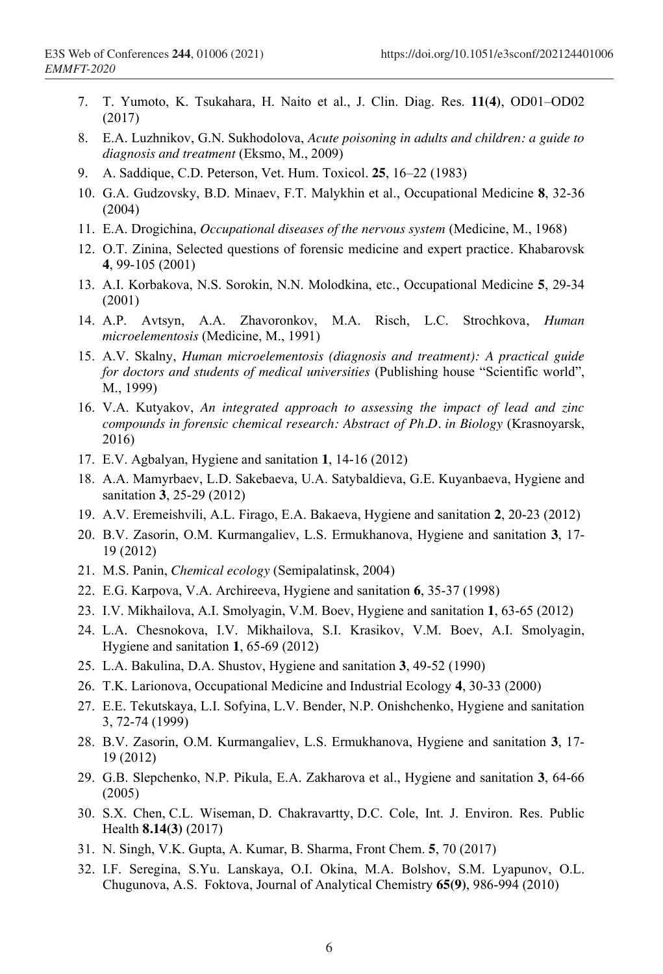- 7. T. Yumoto, K. Tsukahara, H. Naito et al., J. Clin. Diag. Res. **11(4)**, OD01–OD02 (2017)
- 8. E.A. Luzhnikov, G.N. Sukhodolova, *Acute poisoning in adults and children: a guide to diagnosis and treatment* (Eksmo, M., 2009)
- 9. A. Saddique, C.D. Peterson, Vet. Hum. Toxicol. **25**, 16–22 (1983)
- 10. G.A. Gudzovsky, B.D. Minaev, F.T. Malykhin et al., Occupational Medicine **8**, 32-36 (2004)
- 11. E.A. Drogichina, *Occupational diseases of the nervous system* (Medicine, M., 1968)
- 12. O.T. Zinina, Selected questions of forensic medicine and expert practice. Khabarovsk **4**, 99-105 (2001)
- 13. A.I. Korbakova, N.S. Sorokin, N.N. Molodkina, etc., Occupational Medicine **5**, 29-34 (2001)
- 14. A.P. Avtsyn, A.A. Zhavoronkov, M.A. Risch, L.C. Strochkova, *Human microelementosis* (Medicine, M., 1991)
- 15. A.V. Skalny, *Human microelementosis (diagnosis and treatment): A practical guide for doctors and students of medical universities* (Publishing house "Scientific world", M., 1999)
- 16. V.A. Kutyakov, *An integrated approach to assessing the impact of lead and zinc compounds in forensic chemical research: Abstract of Ph.D. in Biology* (Krasnoyarsk, 2016)
- 17. E.V. Agbalyan, Hygiene and sanitation **1**, 14-16 (2012)
- 18. A.A. Mamyrbaev, L.D. Sakebaeva, U.A. Satybaldieva, G.E. Kuyanbaeva, Hygiene and sanitation **3**, 25-29 (2012)
- 19. A.V. Eremeishvili, A.L. Firago, E.A. Bakaeva, Hygiene and sanitation **2**, 20-23 (2012)
- 20. B.V. Zasorin, O.M. Kurmangaliev, L.S. Ermukhanova, Hygiene and sanitation **3**, 17- 19 (2012)
- 21. M.S. Panin, *Chemical ecology* (Semipalatinsk, 2004)
- 22. E.G. Karpova, V.A. Archireeva, Hygiene and sanitation **6**, 35-37 (1998)
- 23. I.V. Mikhailova, A.I. Smolyagin, V.M. Boev, Hygiene and sanitation **1**, 63-65 (2012)
- 24. L.A. Chesnokova, I.V. Mikhailova, S.I. Krasikov, V.M. Boev, A.I. Smolyagin, Hygiene and sanitation **1**, 65-69 (2012)
- 25. L.A. Bakulina, D.A. Shustov, Hygiene and sanitation **3**, 49-52 (1990)
- 26. T.K. Larionova, Occupational Medicine and Industrial Ecology **4**, 30-33 (2000)
- 27. E.E. Tekutskaya, L.I. Sofyina, L.V. Bender, N.P. Onishchenko, Hygiene and sanitation 3, 72-74 (1999)
- 28. B.V. Zasorin, O.M. Kurmangaliev, L.S. Ermukhanova, Hygiene and sanitation **3**, 17- 19 (2012)
- 29. G.B. Slepchenko, N.P. Pikula, E.A. Zakharova et al., Hygiene and sanitation **3**, 64-66 (2005)
- 30. S.X. Chen, C.L. Wiseman, D. Chakravartty, D.C. Cole, Int. J. Environ. Res. Public Health **8.14(3)** (2017)
- 31. N. Singh, V.K. Gupta, A. Kumar, B. Sharma, Front Chem. **5**, 70 (2017)
- 32. I.F. Seregina, S.Yu. Lanskaya, O.I. Okina, M.A. Bolshov, S.M. Lyapunov, O.L. Chugunova, A.S. Foktova, Journal of Analytical Chemistry **65(9)**, 986-994 (2010)